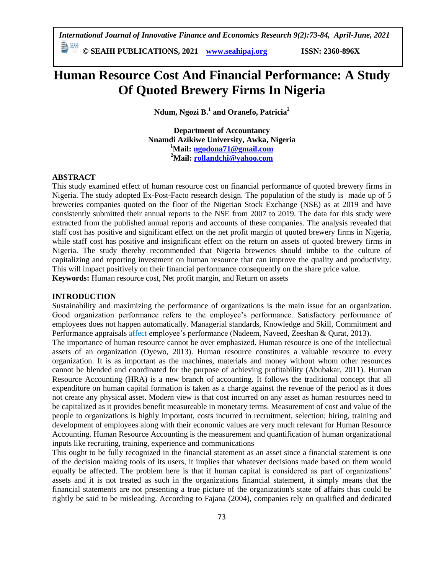*International Journal of Innovative Finance and Economics Research 9(2):73-84, April-June, 2021* **© SEAHI PUBLICATIONS, 2021 [www.seahipaj.org](http://www.seahipaj.org/) ISSN: 2360-896X**

# **Human Resource Cost And Financial Performance: A Study Of Quoted Brewery Firms In Nigeria**

**Ndum, Ngozi B.<sup>1</sup> and Oranefo, Patricia<sup>2</sup>**

**Department of Accountancy Nnamdi Azikiwe University, Awka, Nigeria <sup>1</sup>Mail: [ngodona71@gmail.com](mailto:ngodona71@gmail.com) <sup>2</sup>Mail: [rollandchi@yahoo.com](mailto:rollandchi@yahoo.com)**

# **ABSTRACT**

This study examined effect of human resource cost on financial performance of quoted brewery firms in Nigeria. The study adopted Ex-Post-Facto research design. The population of the study is made up of 5 breweries companies quoted on the floor of the Nigerian Stock Exchange (NSE) as at 2019 and have consistently submitted their annual reports to the NSE from 2007 to 2019. The data for this study were extracted from the published annual reports and accounts of these companies. The analysis revealed that staff cost has positive and significant effect on the net profit margin of quoted brewery firms in Nigeria, while staff cost has positive and insignificant effect on the return on assets of quoted brewery firms in Nigeria. The study thereby recommended that Nigeria breweries should imbibe to the culture of capitalizing and reporting investment on human resource that can improve the quality and productivity. This will impact positively on their financial performance consequently on the share price value. **Keywords:** Human resource cost, Net profit margin, and Return on assets

### **INTRODUCTION**

Sustainability and maximizing the performance of organizations is the main issue for an organization. Good organization performance refers to the employee's performance. Satisfactory performance of employees does not happen automatically. Managerial standards, Knowledge and Skill, Commitment and Performance appraisals affect employee's performance (Nadeem, Naveed, Zeeshan & Qurat, 2013).

The importance of human resource cannot be over emphasized. Human resource is one of the intellectual assets of an organization (Oyewo, 2013). Human resource constitutes a valuable resource to every organization. It is as important as the machines, materials and money without whom other resources cannot be blended and coordinated for the purpose of achieving profitability (Abubakar, 2011). Human Resource Accounting (HRA) is a new branch of accounting. It follows the traditional concept that all expenditure on human capital formation is taken as a charge against the revenue of the period as it does not create any physical asset. Modern view is that cost incurred on any asset as human resources need to be capitalized as it provides benefit measureable in monetary terms. Measurement of cost and value of the people to organizations is highly important, costs incurred in recruitment, selection; hiring, training and development of employees along with their economic values are very much relevant for Human Resource Accounting. Human Resource Accounting is the measurement and quantification of human organizational inputs like recruiting, training, experience and communications

This ought to be fully recognized in the financial statement as an asset since a financial statement is one of the decision making tools of its users, it implies that whatever decisions made based on them would equally be affected. The problem here is that if human capital is considered as part of organizations' assets and it is not treated as such in the organizations financial statement, it simply means that the financial statements are not presenting a true picture of the organization's state of affairs thus could be rightly be said to be misleading. According to Fajana (2004), companies rely on qualified and dedicated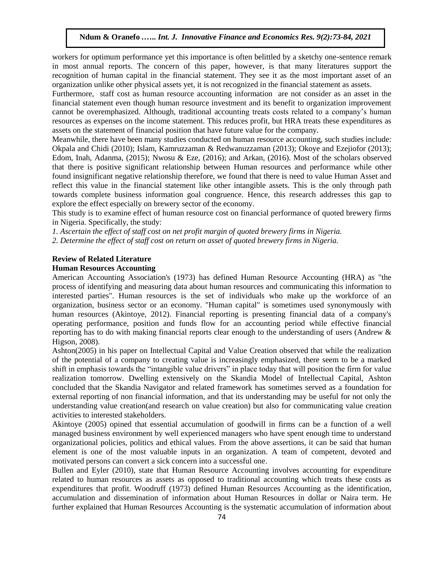workers for optimum performance yet this importance is often belittled by a sketchy one-sentence remark in most annual reports. The concern of this paper, however, is that many literatures support the recognition of human capital in the financial statement. They see it as the most important asset of an organization unlike other physical assets yet, it is not recognized in the financial statement as assets.

Furthermore, staff cost as human resource accounting information are not consider as an asset in the financial statement even though human resource investment and its benefit to organization improvement cannot be overemphasized. Although, traditional accounting treats costs related to a company's human resources as expenses on the income statement. This reduces profit, but HRA treats these expenditures as assets on the statement of financial position that have future value for the company.

Meanwhile, there have been many studies conducted on human resource accounting, such studies include: Okpala and Chidi (2010); Islam, Kamruzzaman & Redwanuzzaman (2013); Okoye and Ezejiofor (2013); Edom, Inah, Adanma, (2015); Nwosu & Eze, (2016); and Arkan, (2016). Most of the scholars observed that there is positive significant relationship between Human resources and performance while other found insignificant negative relationship therefore, we found that there is need to value Human Asset and reflect this value in the financial statement like other intangible assets. This is the only through path towards complete business information goal congruence. Hence, this research addresses this gap to explore the effect especially on brewery sector of the economy.

This study is to examine effect of human resource cost on financial performance of quoted brewery firms in Nigeria. Specifically, the study:

*1. Ascertain the effect of staff cost on net profit margin of quoted brewery firms in Nigeria.*

*2. Determine the effect of staff cost on return on asset of quoted brewery firms in Nigeria.*

# **Review of Related Literature**

### **Human Resources Accounting**

American Accounting Association's (1973) has defined Human Resource Accounting (HRA) as "the process of identifying and measuring data about human resources and communicating this information to interested parties". Human resources is the set of individuals who make up the workforce of an organization, business sector or an economy. "Human capital" is sometimes used synonymously with human resources (Akintoye, 2012). Financial reporting is presenting financial data of a company's operating performance, position and funds flow for an accounting period while effective financial reporting has to do with making financial reports clear enough to the understanding of users (Andrew & Higson, 2008).

Ashton(2005) in his paper on Intellectual Capital and Value Creation observed that while the realization of the potential of a company to creating value is increasingly emphasized, there seem to be a marked shift in emphasis towards the "intangible value drivers" in place today that will position the firm for value realization tomorrow. Dwelling extensively on the Skandia Model of Intellectual Capital, Ashton concluded that the Skandia Navigator and related framework has sometimes served as a foundation for external reporting of non financial information, and that its understanding may be useful for not only the understanding value creation(and research on value creation) but also for communicating value creation activities to interested stakeholders.

Akintoye (2005) opined that essential accumulation of goodwill in firms can be a function of a well managed business environment by well experienced managers who have spent enough time to understand organizational policies, politics and ethical values. From the above assertions, it can be said that human element is one of the most valuable inputs in an organization. A team of competent, devoted and motivated persons can convert a sick concern into a successful one.

Bullen and Eyler (2010), state that Human Resource Accounting involves accounting for expenditure related to human resources as assets as opposed to traditional accounting which treats these costs as expenditures that profit. Woodruff (1973) defined Human Resources Accounting as the identification, accumulation and dissemination of information about Human Resources in dollar or Naira term. He further explained that Human Resources Accounting is the systematic accumulation of information about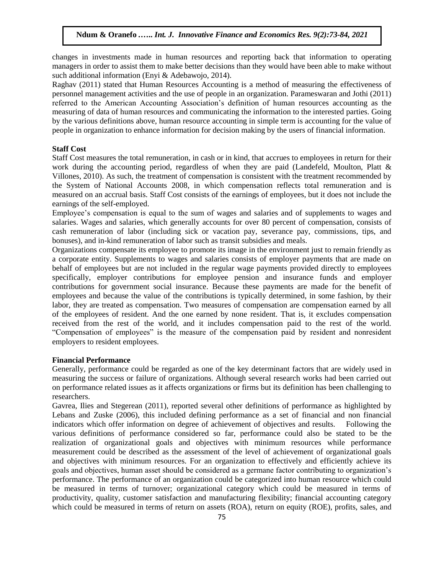changes in investments made in human resources and reporting back that information to operating managers in order to assist them to make better decisions than they would have been able to make without such additional information (Enyi & Adebawojo, 2014).

Raghav (2011) stated that Human Resources Accounting is a method of measuring the effectiveness of personnel management activities and the use of people in an organization. Parameswaran and Jothi (2011) referred to the American Accounting Association's definition of human resources accounting as the measuring of data of human resources and communicating the information to the interested parties. Going by the various definitions above, human resource accounting in simple term is accounting for the value of people in organization to enhance information for decision making by the users of financial information.

# **Staff Cost**

Staff Cost measures the total remuneration, in cash or in kind, that accrues to employees in return for their work during the accounting period, regardless of when they are paid (Landefeld, Moulton, Platt & Villones, 2010). As such, the treatment of compensation is consistent with the treatment recommended by the System of National Accounts 2008, in which compensation reflects total remuneration and is measured on an accrual basis. Staff Cost consists of the earnings of employees, but it does not include the earnings of the self-employed.

Employee's compensation is equal to the sum of wages and salaries and of supplements to wages and salaries. Wages and salaries, which generally accounts for over 80 percent of compensation, consists of cash remuneration of labor (including sick or vacation pay, severance pay, commissions, tips, and bonuses), and in-kind remuneration of labor such as transit subsidies and meals.

Organizations compensate its employee to promote its image in the environment just to remain friendly as a corporate entity. Supplements to wages and salaries consists of employer payments that are made on behalf of employees but are not included in the regular wage payments provided directly to employees specifically, employer contributions for employee pension and insurance funds and employer contributions for government social insurance. Because these payments are made for the benefit of employees and because the value of the contributions is typically determined, in some fashion, by their labor, they are treated as compensation. Two measures of compensation are compensation earned by all of the employees of resident. And the one earned by none resident. That is, it excludes compensation received from the rest of the world, and it includes compensation paid to the rest of the world. "Compensation of employees" is the measure of the compensation paid by resident and nonresident employers to resident employees.

#### **Financial Performance**

Generally, performance could be regarded as one of the key determinant factors that are widely used in measuring the success or failure of organizations. Although several research works had been carried out on performance related issues as it affects organizations or firms but its definition has been challenging to researchers.

Gavrea, Ilies and Stegerean (2011), reported several other definitions of performance as highlighted by Lebans and Zuske (2006), this included defining performance as a set of financial and non financial indicators which offer information on degree of achievement of objectives and results. Following the various definitions of performance considered so far, performance could also be stated to be the realization of organizational goals and objectives with minimum resources while performance measurement could be described as the assessment of the level of achievement of organizational goals and objectives with minimum resources. For an organization to effectively and efficiently achieve its goals and objectives, human asset should be considered as a germane factor contributing to organization's performance. The performance of an organization could be categorized into human resource which could be measured in terms of turnover; organizational category which could be measured in terms of productivity, quality, customer satisfaction and manufacturing flexibility; financial accounting category which could be measured in terms of return on assets (ROA), return on equity (ROE), profits, sales, and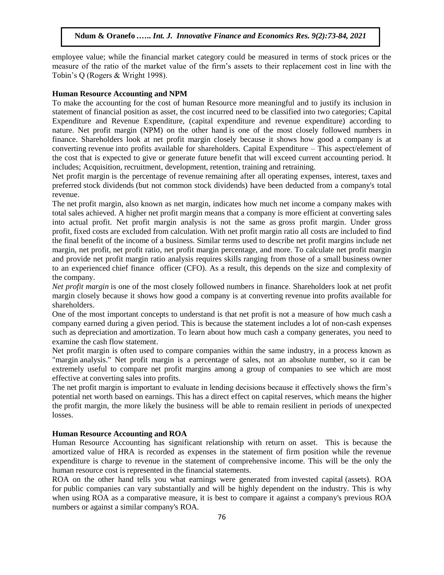employee value; while the financial market category could be measured in terms of stock prices or the measure of the ratio of the market value of the firm's assets to their replacement cost in line with the Tobin's Q (Rogers & Wright 1998).

#### **Human Resource Accounting and NPM**

To make the accounting for the cost of human Resource more meaningful and to justify its inclusion in statement of financial position as asset, the cost incurred need to be classified into two categories; Capital Expenditure and Revenue Expenditure, (capital expenditure and revenue expenditure) according to nature. Net profit margin (NPM) on the other hand is one of the most closely followed numbers in finance. Shareholders look at net profit margin closely because it shows how good a company is at converting [revenue](https://investinganswers.com/node/5108) into profits available for shareholders. Capital Expenditure – This aspect/element of the cost that is expected to give or generate future benefit that will exceed current accounting period. It includes; Acquisition, recruitment, development, retention, training and retraining.

Net profit margin is the percentage of [revenue](https://investinganswers.com/node/5108) remaining after all [operating expenses,](https://investinganswers.com/node/2792) interest, [taxes](https://investinganswers.com/node/4567) and preferred [stock dividends](https://investinganswers.com/node/5151) (but not common stock dividends) have been deducted from a company's total revenue.

The net [profit margin,](https://strategiccfo.com/gross-profit-margin-ratio-analysis/) also known as net margin, indicates how much [net income](https://strategiccfo.com/wikicfo/net-income/) a company makes with total sales achieved. A higher net profit margin means that a [company](https://strategiccfo.com/how-long-can-a-company-lose-money-without-running-out-of-cash/) is more efficient at converting sales into actual profit. Net profit margin analysis is not the same as [gross profit margin.](https://strategiccfo.com/wikicfo/gross-profit-margin-ratio-analysis/) Under gross profit, [fixed costs](https://strategiccfo.com/wikicfo/fixed-costs/) are excluded from calculation. With net profit margin ratio all costs are included to find the final benefit of the [income](https://strategiccfo.com/operating-income-example/) of a [business.](https://strategiccfo.com/business-accelerator/) Similar terms used to describe net profit margins include net margin, net profit, [net profit ratio,](https://strategiccfo.com/net-profit-margin-ratio/) net profit margin percentage, and more. To calculate net profit margin and provide net profit margin ratio analysis requires skills ranging from those of a small [business](https://strategiccfo.com/how-businesses-can-prepare-for-natural-disasters/) owner to an experienced [chief finance](https://strategiccfo.com/how-cfos-drive-revenue-growth/) officer (CFO). As a result, this depends on the size and complexity of the [company.](https://strategiccfo.com/can-you-grow-a-company-having-a-players/)

*Net profit margin* is one of the most closely followed numbers in finance. Shareholders look at net profit margin closely because it shows how good a company is at converting [revenue](https://investinganswers.com/node/5108) into profits available for shareholders.

One of the most important concepts to understand is that [net profit](https://investinganswers.com/node/2230) is not a measure of how much [cash](https://investinganswers.com/node/5011) a company earned during a given period. This is because the statement includes a [lot](https://investinganswers.com/node/5075) of non-cash expenses such as [depreciation](https://investinganswers.com/node/1328) and [amortization.](https://investinganswers.com/node/2073) To learn about how much cash a company generates, you need to examine the [cash flow statement.](https://investinganswers.com/node/2786)

Net profit margin is often used to compare companies within the same industry, in a process known as ["margin](https://investinganswers.com/node/82) analysis." Net profit margin is a percentage of sales, not an absolute number, so it can be extremely useful to compare net profit margins among a group of companies to see which are most effective at converting sales into profits.

The net profit margin is important to evaluate in lending decisions because it effectively shows the firm's potential net worth based on earnings. This has a direct effect on capital reserves, which means the higher the [profit margin,](http://www.sageworks.com/blog/post/2012/03/12/Private-company-profit-margins-recover.aspx) the more likely the business will be able to remain resilient in periods of unexpected losses.

#### **Human Resource Accounting and ROA**

Human Resource Accounting has significant relationship with return on asset. This is because the amortized value of HRA is recorded as expenses in the statement of firm position while the revenue expenditure is charge to revenue in the statement of comprehensive income. This will be the only the human resource cost is represented in the financial statements.

ROA on the other hand tells you what earnings were generated from [invested capital](https://www.investopedia.com/terms/i/invested-capital.asp) (assets). ROA for [public companies](https://www.investopedia.com/terms/p/publiccompany.asp) can vary substantially and will be highly dependent on the industry. This is why when using ROA as a comparative measure, it is best to compare it against a company's previous ROA numbers or against a similar company's ROA.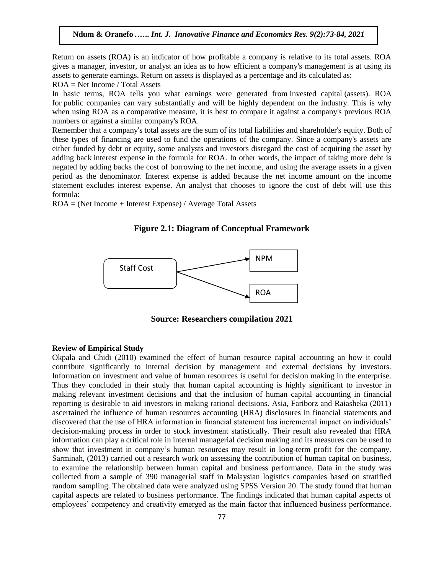Return on assets (ROA) is an indicator of how profitable a company is relative to its total assets. ROA gives a manager, investor, or analyst an idea as to how efficient a company's management is at using its assets to generate earnings. Return on assets is displayed as a percentage and its calculated as: ROA = Net Income / Total Assets

In basic terms, ROA tells you what earnings were generated from [invested capital](https://www.investopedia.com/terms/i/invested-capital.asp) (assets). ROA for [public companies](https://www.investopedia.com/terms/p/publiccompany.asp) can vary substantially and will be highly dependent on the industry. This is why when using ROA as a comparative measure, it is best to compare it against a company's previous ROA numbers or against a similar company's ROA.

Remember that a company's total assets are the sum of its total [liabilities](https://www.investopedia.com/terms/t/total-liabilities.asp) and [shareholder's equity.](https://www.investopedia.com/terms/s/shareholdersequity.asp) Both of these types of financing are used to fund the operations of the company. Since a company's assets are either funded by debt or equity, some analysts and investors disregard the cost of acquiring the asset by adding back [interest expense](https://www.investopedia.com/terms/i/interestexpense.asp) in the formula for ROA. In other words, the impact of taking more debt is negated by adding backs the cost of borrowing to the [net income,](https://www.investopedia.com/terms/n/netincome.asp) and using the average assets in a given period as the denominator. Interest expense is added because the net income amount on the income statement excludes interest expense. An analyst that chooses to ignore the cost of debt will use this formula:

ROA = (Net Income + Interest Expense) / Average Total Assets

**Figure 2.1: Diagram of Conceptual Framework**



**Source: Researchers compilation 2021**

### **Review of Empirical Study**

Okpala and Chidi (2010) examined the effect of human resource capital accounting an how it could contribute significantly to internal decision by management and external decisions by investors. Information on investment and value of human resources is useful for decision making in the enterprise. Thus they concluded in their study that human capital accounting is highly significant to investor in making relevant investment decisions and that the inclusion of human capital accounting in financial reporting is desirable to aid investors in making rational decisions. Asia, Fariborz and Raiasheka (2011) ascertained the influence of human resources accounting (HRA) disclosures in financial statements and discovered that the use of HRA information in financial statement has incremental impact on individuals' decision-making process in order to stock investment statistically. Their result also revealed that HRA information can play a critical role in internal managerial decision making and its measures can be used to show that investment in company's human resources may result in long-term profit for the company. Sarminah, (2013) carried out a research work on assessing the contribution of human capital on business, to examine the relationship between human capital and business performance. Data in the study was collected from a sample of 390 managerial staff in Malaysian logistics companies based on stratified random sampling. The obtained data were analyzed using SPSS Version 20. The study found that human capital aspects are related to business performance. The findings indicated that human capital aspects of employees' competency and creativity emerged as the main factor that influenced business performance.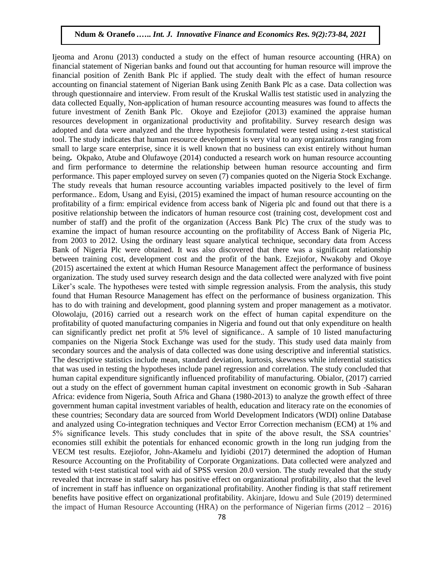Ijeoma and Aronu (2013) conducted a study on the effect of human resource accounting (HRA) on financial statement of Nigerian banks and found out that accounting for human resource will improve the financial position of Zenith Bank Plc if applied. The study dealt with the effect of human resource accounting on financial statement of Nigerian Bank using Zenith Bank Plc as a case. Data collection was through questionnaire and interview. From result of the Kruskal Wallis test statistic used in analyzing the data collected Equally, Non-application of human resource accounting measures was found to affects the future investment of Zenith Bank Plc. Okoye and Ezejiofor (2013) examined the appraise human resources development in organizational productivity and profitability. Survey research design was adopted and data were analyzed and the three hypothesis formulated were tested using z-test statistical tool. The study indicates that human resource development is very vital to any organizations ranging from small to large scare enterprise, since it is well known that no business can exist entirely without human being**.** Okpako, Atube and Olufawoye (2014) conducted a research work on human resource accounting and firm performance to determine the relationship between human resource accounting and firm performance. This paper employed survey on seven (7) companies quoted on the Nigeria Stock Exchange. The study reveals that human resource accounting variables impacted positively to the level of firm performance.. Edom, Usang and Eyisi, (2015) examined the impact of human resource accounting on the profitability of a firm: empirical evidence from access bank of Nigeria plc and found out that there is a positive relationship between the indicators of human resource cost (training cost, development cost and number of staff) and the profit of the organization (Access Bank Plc) The crux of the study was to examine the impact of human resource accounting on the profitability of Access Bank of Nigeria Plc, from 2003 to 2012. Using the ordinary least square analytical technique, secondary data from Access Bank of Nigeria Plc were obtained. It was also discovered that there was a significant relationship between training cost, development cost and the profit of the bank. Ezejiofor, Nwakoby and Okoye (2015) ascertained the extent at which Human Resource Management affect the performance of business organization. The study used survey research design and the data collected were analyzed with five point Liker's scale. The hypotheses were tested with simple regression analysis. From the analysis, this study found that Human Resource Management has effect on the performance of business organization. This has to do with training and development, good planning system and proper management as a motivator. Olowolaju, (2016) carried out a research work on the effect of human capital expenditure on the profitability of quoted manufacturing companies in Nigeria and found out that only expenditure on health can significantly predict net profit at 5% level of significance.. A sample of 10 listed manufacturing companies on the Nigeria Stock Exchange was used for the study. This study used data mainly from secondary sources and the analysis of data collected was done using descriptive and inferential statistics. The descriptive statistics include mean, standard deviation, kurtosis, skewness while inferential statistics that was used in testing the hypotheses include panel regression and correlation. The study concluded that human capital expenditure significantly influenced profitability of manufacturing. Obialor, (2017) carried out a study on the effect of government human capital investment on economic growth in Sub -Saharan Africa: evidence from Nigeria, South Africa and Ghana (1980-2013) to analyze the growth effect of three government human capital investment variables of health, education and literacy rate on the economies of these countries; Secondary data are sourced from World Development Indicators (WDI) online Database and analyzed using Co-integration techniques and Vector Error Correction mechanism (ECM) at 1% and 5% significance levels. This study concludes that in spite of the above result, the SSA countries' economies still exhibit the potentials for enhanced economic growth in the long run judging from the VECM test results. Ezejiofor, John-Akamelu and Iyidiobi (2017) determined the adoption of Human Resource Accounting on the Profitability of Corporate Organizations. Data collected were analyzed and tested with t-test statistical tool with aid of SPSS version 20.0 version. The study revealed that the study revealed that increase in staff salary has positive effect on organizational profitability, also that the level of increment in staff has influence on organizational profitability. Another finding is that staff retirement benefits have positive effect on organizational profitability. Akinjare, Idowu and Sule (2019) determined the impact of Human Resource Accounting (HRA) on the performance of Nigerian firms (2012 – 2016)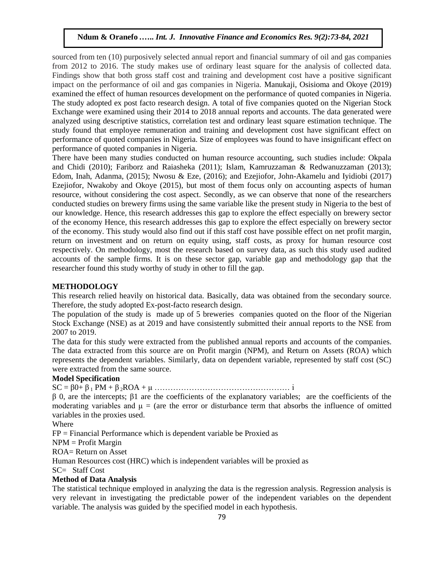sourced from ten (10) purposively selected annual report and financial summary of oil and gas companies from 2012 to 2016. The study makes use of ordinary least square for the analysis of collected data. Findings show that both gross staff cost and training and development cost have a positive significant impact on the performance of oil and gas companies in Nigeria. Manukaji, Osisioma and Okoye (2019) examined the effect of human resources development on the performance of quoted companies in Nigeria. The study adopted ex post facto research design. A total of five companies quoted on the Nigerian Stock Exchange were examined using their 2014 to 2018 annual reports and accounts. The data generated were analyzed using descriptive statistics, correlation test and ordinary least square estimation technique. The study found that employee remuneration and training and development cost have significant effect on performance of quoted companies in Nigeria. Size of employees was found to have insignificant effect on performance of quoted companies in Nigeria.

There have been many studies conducted on human resource accounting, such studies include: Okpala and Chidi (2010); Fariborz and Raiasheka (2011); Islam, Kamruzzaman & Redwanuzzaman (2013); Edom, Inah, Adanma, (2015); Nwosu & Eze, (2016); and Ezejiofor, John-Akamelu and Iyidiobi (2017) Ezejiofor, Nwakoby and Okoye (2015), but most of them focus only on accounting aspects of human resource, without considering the cost aspect. Secondly, as we can observe that none of the researchers conducted studies on brewery firms using the same variable like the present study in Nigeria to the best of our knowledge. Hence, this research addresses this gap to explore the effect especially on brewery sector of the economy Hence, this research addresses this gap to explore the effect especially on brewery sector of the economy. This study would also find out if this staff cost have possible effect on net profit margin, return on investment and on return on equity using, staff costs, as proxy for human resource cost respectively. On methodology, most the research based on survey data, as such this study used audited accounts of the sample firms. It is on these sector gap, variable gap and methodology gap that the researcher found this study worthy of study in other to fill the gap.

### **METHODOLOGY**

This research relied heavily on historical data. Basically, data was obtained from the secondary source. Therefore, the study adopted Ex-post-facto research design.

The population of the study is made up of 5 breweries companies quoted on the floor of the Nigerian Stock Exchange (NSE) as at 2019 and have consistently submitted their annual reports to the NSE from 2007 to 2019.

The data for this study were extracted from the published annual reports and accounts of the companies. The data extracted from this source are on Profit margin (NPM), and Return on Assets (ROA) which represents the dependent variables. Similarly, data on dependent variable, represented by staff cost (SC) were extracted from the same source.

### **Model Specification**

SC = β0+ β <sup>1</sup> PM + β <sup>2</sup>ROA + μ …………………………………………… i

β 0, are the intercepts; β1 are the coefficients of the explanatory variables; are the coefficients of the moderating variables and  $\mu =$  (are the error or disturbance term that absorbs the influence of omitted variables in the proxies used.

Where

FP = Financial Performance which is dependent variable be Proxied as

NPM = Profit Margin

ROA= Return on Asset

Human Resources cost (HRC) which is independent variables will be proxied as

SC= Staff Cost

# **Method of Data Analysis**

The statistical technique employed in analyzing the data is the regression analysis. Regression analysis is very relevant in investigating the predictable power of the independent variables on the dependent variable. The analysis was guided by the specified model in each hypothesis.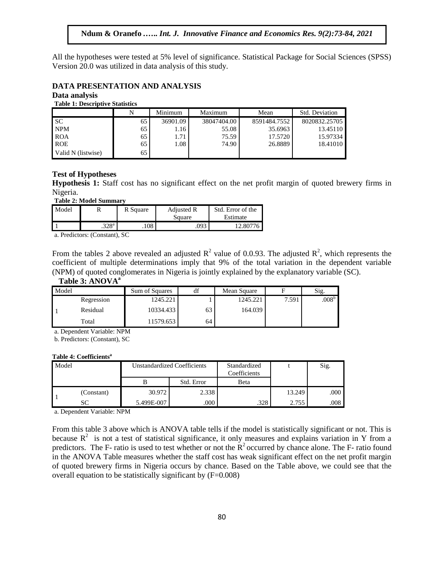All the hypotheses were tested at 5% level of significance. Statistical Package for Social Sciences (SPSS) Version 20.0 was utilized in data analysis of this study.

#### **DATA PRESENTATION AND ANALYSIS**

### **Data analysis**

**Table 1: Descriptive Statistics**

|                    | N  | Minimum  | Maximum     | Mean         | Std. Deviation |
|--------------------|----|----------|-------------|--------------|----------------|
| <b>SC</b>          | 65 | 36901.09 | 38047404.00 | 8591484.7552 | 8020832.25705  |
| <b>NPM</b>         | 65 | 1.16     | 55.08       | 35.6963      | 13.45110       |
| <b>ROA</b>         | 65 | 1.71     | 75.59       | 17.5720      | 15.97334       |
| <b>ROE</b>         | 65 | 1.08     | 74.90       | 26.8889      | 18.41010       |
| Valid N (listwise) | 65 |          |             |              |                |

#### **Test of Hypotheses**

**Hypothesis 1:** Staff cost has no significant effect on the net profit margin of quoted brewery firms in Nigeria.

**Table 2: Model Summary**

| Model |                   | R Square | <b>Adjusted R</b> | Std. Error of the |
|-------|-------------------|----------|-------------------|-------------------|
|       |                   |          | Square            | Estimate          |
|       | .328 <sup>a</sup> | .108     | .093              | 12.80776          |

a. Predictors: (Constant), SC

From the tables 2 above revealed an adjusted  $R^2$  value of 0.0.93. The adjusted  $R^2$ , which represents the coefficient of multiple determinations imply that 9% of the total variation in the dependent variable (NPM) of quoted conglomerates in Nigeria is jointly explained by the explanatory variable (SC).

# **Table 3: ANOVA<sup>a</sup>**

| Model |            | Sum of Squares | df | Mean Square | F     | Sig.           |
|-------|------------|----------------|----|-------------|-------|----------------|
|       | Regression | 1245.221       |    | 1245.221    | 7.591 | $.008^{\rm b}$ |
|       | Residual   | 10334.433      | 63 | 164.039     |       |                |
|       | Total      | 11579.653      | 64 |             |       |                |

a. Dependent Variable: NPM

b. Predictors: (Constant), SC

#### **Table 4: Coefficients<sup>a</sup>**

| Model |            | <b>Unstandardized Coefficients</b> |            | Standardized<br>Coefficients |        | Sig. |
|-------|------------|------------------------------------|------------|------------------------------|--------|------|
|       |            |                                    | Std. Error | Beta                         |        |      |
|       | (Constant) | 30.972                             | 2.338      |                              | 13.249 | .000 |
|       | SС         | 5.499E-007                         | .000       | .328                         | 2.755  | .008 |

a. Dependent Variable: NPM

From this table 3 above which is ANOVA table tells if the model is statistically significant or not. This is because  $R^2$  is not a test of statistical significance, it only measures and explains variation in Y from a predictors. The F- ratio is used to test whether or not the  $R<sup>2</sup>$  occurred by chance alone. The F- ratio found in the ANOVA Table measures whether the staff cost has weak significant effect on the net profit margin of quoted brewery firms in Nigeria occurs by chance. Based on the Table above, we could see that the overall equation to be statistically significant by (F=0.008)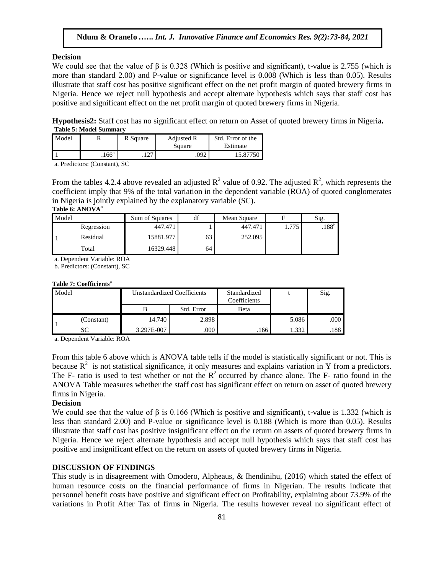# **Decision**

We could see that the value of  $\beta$  is 0.328 (Which is positive and significant), t-value is 2.755 (which is more than standard 2.00) and P-value or significance level is 0.008 (Which is less than 0.05). Results illustrate that staff cost has positive significant effect on the net profit margin of quoted brewery firms in Nigeria. Hence we reject null hypothesis and accept alternate hypothesis which says that staff cost has positive and significant effect on the net profit margin of quoted brewery firms in Nigeria.

**Hypothesis2:** Staff cost has no significant effect on return on Asset of quoted brewery firms in Nigeria**. Table 5: Model Summary**

| Model |                   | R Square       | Adjusted R<br>Square | Std. Error of the<br>Estimate |
|-------|-------------------|----------------|----------------------|-------------------------------|
|       | .166 <sup>a</sup> | ר ר<br>۰ ۲ ۵ ۰ | 092                  | 15.87750                      |

a. Predictors: (Constant), SC

From the tables 4.2.4 above revealed an adjusted  $\mathbb{R}^2$  value of 0.92. The adjusted  $\mathbb{R}^2$ , which represents the coefficient imply that 9% of the total variation in the dependent variable (ROA) of quoted conglomerates in Nigeria is jointly explained by the explanatory variable (SC).

#### **Table 6: ANOVA<sup>a</sup>**

| Model |            | Sum of Squares | df | Mean Square |       | Sig.       |
|-------|------------|----------------|----|-------------|-------|------------|
|       | Regression | 447.471        |    | 447.471     | 1.775 | $.188^{b}$ |
|       | Residual   | 15881.977      | 63 | 252.095     |       |            |
|       | Total      | 16329.448      | 64 |             |       |            |

a. Dependent Variable: ROA

b. Predictors: (Constant), SC

#### **Table 7: Coefficients<sup>a</sup>**

| Model |            | <b>Unstandardized Coefficients</b> |            | Standardized<br>Coefficients |       | Sig. |
|-------|------------|------------------------------------|------------|------------------------------|-------|------|
|       |            |                                    | Std. Error | Beta                         |       |      |
|       | (Constant) | 14.740                             | 2.898      |                              | 5.086 | .000 |
|       | SC         | 3.297E-007                         | .000       | .166                         | .332  | .188 |

a. Dependent Variable: ROA

From this table 6 above which is ANOVA table tells if the model is statistically significant or not. This is because  $R^2$  is not statistical significance, it only measures and explains variation in Y from a predictors. The F- ratio is used to test whether or not the  $R^2$  occurred by chance alone. The F- ratio found in the ANOVA Table measures whether the staff cost has significant effect on return on asset of quoted brewery firms in Nigeria.

# **Decision**

We could see that the value of  $\beta$  is 0.166 (Which is positive and significant), t-value is 1.332 (which is less than standard 2.00) and P-value or significance level is 0.188 (Which is more than 0.05). Results illustrate that staff cost has positive insignificant effect on the return on assets of quoted brewery firms in Nigeria. Hence we reject alternate hypothesis and accept null hypothesis which says that staff cost has positive and insignificant effect on the return on assets of quoted brewery firms in Nigeria.

### **DISCUSSION OF FINDINGS**

This study is in disagreement with Omodero, Alpheaus, & Ihendinihu, (2016) which stated the effect of human resource costs on the financial performance of firms in Nigerian. The results indicate that personnel benefit costs have positive and significant effect on Profitability, explaining about 73.9% of the variations in Profit After Tax of firms in Nigeria. The results however reveal no significant effect of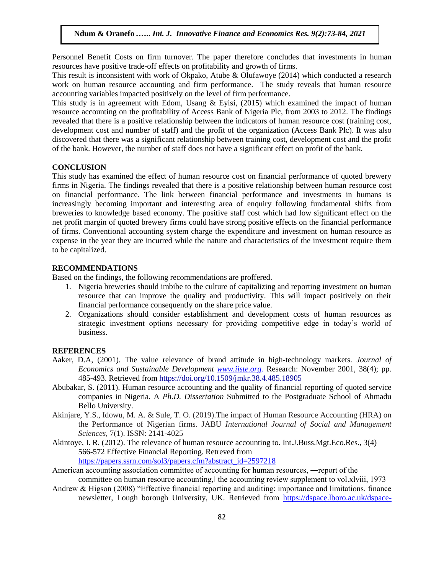Personnel Benefit Costs on firm turnover. The paper therefore concludes that investments in human resources have positive trade-off effects on profitability and growth of firms.

This result is inconsistent with work of Okpako, Atube & Olufawoye (2014) which conducted a research work on human resource accounting and firm performance. The study reveals that human resource accounting variables impacted positively on the level of firm performance.

This study is in agreement with Edom, Usang  $\&$  Eyisi, (2015) which examined the impact of human resource accounting on the profitability of Access Bank of Nigeria Plc, from 2003 to 2012. The findings revealed that there is a positive relationship between the indicators of human resource cost (training cost, development cost and number of staff) and the profit of the organization (Access Bank Plc). It was also discovered that there was a significant relationship between training cost, development cost and the profit of the bank. However, the number of staff does not have a significant effect on profit of the bank.

# **CONCLUSION**

This study has examined the effect of human resource cost on financial performance of quoted brewery firms in Nigeria. The findings revealed that there is a positive relationship between human resource cost on financial performance. The link between financial performance and investments in humans is increasingly becoming important and interesting area of enquiry following fundamental shifts from breweries to knowledge based economy. The positive staff cost which had low significant effect on the net profit margin of quoted brewery firms could have strong positive effects on the financial performance of firms. Conventional accounting system charge the expenditure and investment on human resource as expense in the year they are incurred while the nature and characteristics of the investment require them to be capitalized.

# **RECOMMENDATIONS**

Based on the findings, the following recommendations are proffered.

- 1. Nigeria breweries should imbibe to the culture of capitalizing and reporting investment on human resource that can improve the quality and productivity. This will impact positively on their financial performance consequently on the share price value.
- 2. Organizations should consider establishment and development costs of human resources as strategic investment options necessary for providing competitive edge in today's world of business.

### **REFERENCES**

- Aaker, D.A, (2001). The value relevance of brand attitude in high-technology markets. *Journal of Economics and Sustainable Development [www.iiste.org.](http://www.iiste.org/)* Research: November 2001, 38(4); pp. 485-493. Retrieved from<https://doi.org/10.1509/jmkr.38.4.485.18905>
- Abubakar, S. (2011). Human resource accounting and the quality of financial reporting of quoted service companies in Nigeria. A *Ph.D. Dissertation* Submitted to the Postgraduate School of Ahmadu Bello University.
- Akinjare, Y.S., Idowu, M. A. & Sule, T. O. (2019).The impact of Human Resource Accounting (HRA) on the Performance of Nigerian firms. JABU *International Journal of Social and Management Sciences,* 7(1). ISSN: 2141-4025
- Akintoye, I. R. (2012). The relevance of human resource accounting to. Int.J.Buss.Mgt.Eco.Res., 3(4) 566-572 Effective Financial Reporting. Retreved from [https://papers.ssrn.com/sol3/papers.cfm?abstract\\_id=2597218](https://papers.ssrn.com/sol3/papers.cfm?abstract_id=2597218)
- American accounting association committee of accounting for human resources, ―report of the committee on human resource accounting, the accounting review supplement to vol.xlviii, 1973
- Andrew & Higson (2008) "Effective financial reporting and auditing: importance and limitations. finance newsletter, Lough borough University, UK. Retrieved from [https://dspace.lboro.ac.uk/dspace-](https://dspace.lboro.ac.uk/dspace-jspui/bitstream/2134/10105/13/effective-financial-reporting-and-auditing-importance-and-limitations.pdf)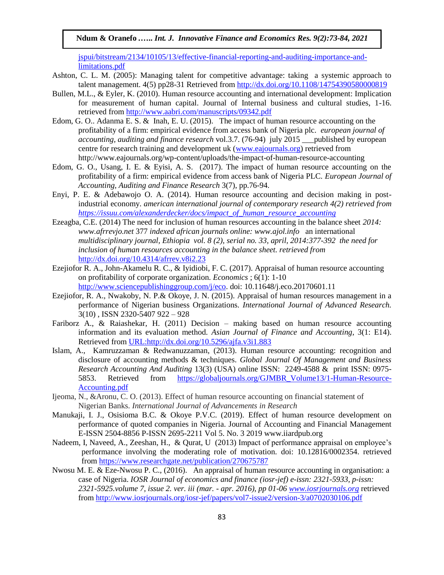[jspui/bitstream/2134/10105/13/effective-financial-reporting-and-auditing-importance-and](https://dspace.lboro.ac.uk/dspace-jspui/bitstream/2134/10105/13/effective-financial-reporting-and-auditing-importance-and-limitations.pdf)[limitations.pdf](https://dspace.lboro.ac.uk/dspace-jspui/bitstream/2134/10105/13/effective-financial-reporting-and-auditing-importance-and-limitations.pdf)

- Ashton, C. L. M. (2005): Managing talent for competitive advantage: taking a systemic approach to talent management. 4(5) pp28-31 Retrieved from<http://dx.doi.org/10.1108/14754390580000819>
- Bullen, M.L., & Eyler, K. (2010). Human resource accounting and international development: Implication for measurement of human capital. Journal of Internal business and cultural studies, 1-16. retrieved from<http://www.aabri.com/manuscripts/09342.pdf>
- Edom, G. O.. Adanma E. S. & Inah, E. U. (2015). The impact of human resource accounting on the profitability of a firm: empirical evidence from access bank of Nigeria plc. *european journal of accounting, auditing and finance research* vol.3.7. (76-94) july 2015 \_\_\_published by european centre for research training and development uk [\(www.eajournals.org\)](http://www.eajournals.org/) retrieved from http://www.eajournals.org/wp-content/uploads/the-impact-of-human-resource-accounting
- Edom, G. O., Usang, I. E. & Eyisi, A. S. (2017). The impact of human resource accounting on the profitability of a firm: empirical evidence from access bank of Nigeria PLC. *European Journal of Accounting, Auditing and Finance Research* 3(7), pp.76-94.
- Enyi, P. E. & Adebawojo O. A. (2014). Human resource accounting and decision making in postindustrial economy. *american international journal of contemporary research 4(2) retrieved from [https://issuu.com/alexanderdecker/docs/impact\\_of\\_human\\_resource\\_accounting](https://issuu.com/alexanderdecker/docs/impact_of_human_resource_accounting)*
- Ezeagba, C.E. (2014) The need for inclusion of human resources accounting in the balance sheet *2014: www.afrrevjo.net* 377 *indexed african journals online: www.ajol.info* an international *multidisciplinary journal, Ethiopia vol. 8 (2), serial no. 33, april, 2014:377-392 the need for inclusion of human resources accounting in the balance sheet. retrieved from*  <http://dx.doi.org/10.4314/afrrev.v8i2.23>
- Ezejiofor R. A., John-Akamelu R. C., & Iyidiobi, F. C. (2017). Appraisal of human resource accounting on profitability of corporate organization. *Economics* ; 6(1): 1-10 [http://www.sciencepublishinggroup.com/j/eco.](http://www.sciencepublishinggroup.com/j/eco) doi: 10.11648/j.eco.20170601.11
- Ezejiofor, R. A., Nwakoby, N. P.& Okoye, J. N. (2015). Appraisal of human resources management in a performance of Nigerian business Organizations. *International Journal of Advanced Research.* 3(10) , ISSN 2320-5407 922 – 928
- Fariborz A., & Raiashekar, H. (2011) Decision making based on human resource accounting information and its evaluation method. *Asian Journal of Finance and Accounting*, 3(1: E14). Retrieved fro[m URL:http://dx.doi.org/10.5296/ajfa.v3i1.883](http://dx.doi.org/10.5296/ajfa.v3i1.883)
- Islam, A., Kamruzzaman & Redwanuzzaman, (2013). Human resource accounting: recognition and disclosure of accounting methods & techniques. *Global Journal Of Management and Business Research Accounting And Auditing* 13(3) (USA) online ISSN: 2249-4588 & print ISSN: 0975 5853. Retrieved from [https://globaljournals.org/GJMBR\\_Volume13/1-Human-Resource-](https://globaljournals.org/GJMBR_Volume13/1-Human-Resource-Accounting.pdf)[Accounting.pdf](https://globaljournals.org/GJMBR_Volume13/1-Human-Resource-Accounting.pdf)
- Ijeoma, N., &Aronu, C. O. (2013). Effect of human resource accounting on financial statement of Nigerian Banks. *International Journal of Advancements in Research*
- Manukaji, I. J., Osisioma B.C. & Okoye P.V.C. (2019). Effect of human resource development on performance of quoted companies in Nigeria. Journal of Accounting and Financial Management E-ISSN 2504-8856 P-ISSN 2695-2211 Vol 5. No. 3 2019 www.iiardpub.org
- Nadeem, I, Naveed, A., Zeeshan, H., & Qurat, U (2013) Impact of performance appraisal on employee's performance involving the moderating role of motivation. doi: 10.12816/0002354. retrieved fro[m https://www.researchgate.net/publication/270675787](https://www.researchgate.net/publication/270675787)
- Nwosu M. E. & Eze-Nwosu P. C., (2016). An appraisal of human resource accounting in organisation: a case of Nigeria. *IOSR Journal of economics and finance (iosr-jef) e-issn: 2321-5933, p-issn: 2321-5925.volume 7, issue 2. ver. iii (mar. - apr. 2016), pp 01-06 [www.iosrjournals.org](http://www.iosrjournals.org/)* retrieved from [http://www.iosrjournals.org/iosr-jef/papers/vol7-issue2/version-3/a0702030106.pdf](http://www.iosrjournals.org/iosr-jef/papers/Vol7-Issue2/Version-3/A0702030106.pdf)